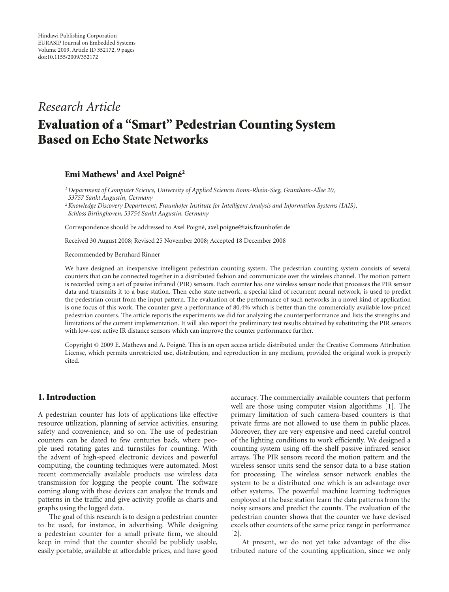# *Research Article*

# **Evaluation of a "Smart" Pedestrian Counting System Based on Echo State Networks**

## **Emi Mathews<sup>1</sup> and Axel Poigné<sup>2</sup>**

*1Department of Computer Science, University of Applied Sciences Bonn-Rhein-Sieg, Grantham-Allee 20, 53757 Sankt Augustin, Germany*

*2Knowledge Discovery Department, Fraunhofer Institute for Intelligent Analysis and Information Systems (IAIS), Schloss Birlinghoven, 53754 Sankt Augustin, Germany*

Correspondence should be addressed to Axel Poigné, axel.poigne@iais.fraunhofer.de

Received 30 August 2008; Revised 25 November 2008; Accepted 18 December 2008

Recommended by Bernhard Rinner

We have designed an inexpensive intelligent pedestrian counting system. The pedestrian counting system consists of several counters that can be connected together in a distributed fashion and communicate over the wireless channel. The motion pattern is recorded using a set of passive infrared (PIR) sensors. Each counter has one wireless sensor node that processes the PIR sensor data and transmits it to a base station. Then echo state network, a special kind of recurrent neural network, is used to predict the pedestrian count from the input pattern. The evaluation of the performance of such networks in a novel kind of application is one focus of this work. The counter gave a performance of 80.4% which is better than the commercially available low-priced pedestrian counters. The article reports the experiments we did for analyzing the counterperformance and lists the strengths and limitations of the current implementation. It will also report the preliminary test results obtained by substituting the PIR sensors with low-cost active IR distance sensors which can improve the counter performance further.

Copyright © 2009 E. Mathews and A. Poigne. This is an open access article distributed under the Creative Commons Attribution ´ License, which permits unrestricted use, distribution, and reproduction in any medium, provided the original work is properly cited.

#### **1. Introduction**

A pedestrian counter has lots of applications like effective resource utilization, planning of service activities, ensuring safety and convenience, and so on. The use of pedestrian counters can be dated to few centuries back, where people used rotating gates and turnstiles for counting. With the advent of high-speed electronic devices and powerful computing, the counting techniques were automated. Most recent commercially available products use wireless data transmission for logging the people count. The software coming along with these devices can analyze the trends and patterns in the traffic and give activity profile as charts and graphs using the logged data.

The goal of this research is to design a pedestrian counter to be used, for instance, in advertising. While designing a pedestrian counter for a small private firm, we should keep in mind that the counter should be publicly usable, easily portable, available at affordable prices, and have good accuracy. The commercially available counters that perform well are those using computer vision algorithms [1]. The primary limitation of such camera-based counters is that private firms are not allowed to use them in public places. Moreover, they are very expensive and need careful control of the lighting conditions to work efficiently. We designed a counting system using off-the-shelf passive infrared sensor arrays. The PIR sensors record the motion pattern and the wireless sensor units send the sensor data to a base station for processing. The wireless sensor network enables the system to be a distributed one which is an advantage over other systems. The powerful machine learning techniques employed at the base station learn the data patterns from the noisy sensors and predict the counts. The evaluation of the pedestrian counter shows that the counter we have devised excels other counters of the same price range in performance [2].

At present, we do not yet take advantage of the distributed nature of the counting application, since we only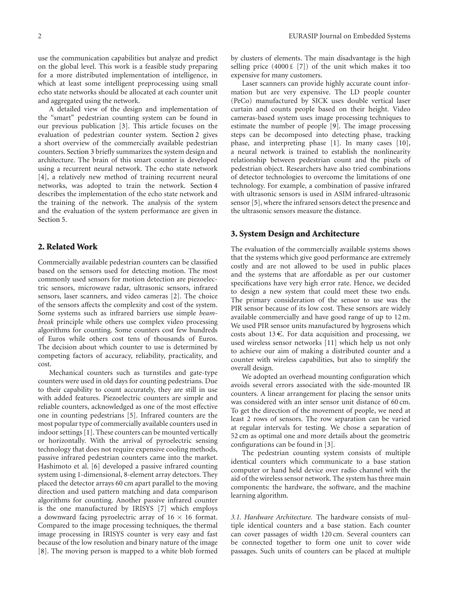use the communication capabilities but analyze and predict on the global level. This work is a feasible study preparing for a more distributed implementation of intelligence, in which at least some intelligent preprocessing using small echo state networks should be allocated at each counter unit and aggregated using the network.

A detailed view of the design and implementation of the "smart" pedestrian counting system can be found in our previous publication [3]. This article focuses on the evaluation of pedestrian counter system. Section 2 gives a short overview of the commercially available pedestrian counters. Section 3 briefly summarizes the system design and architecture. The brain of this smart counter is developed using a recurrent neural network. The echo state network [4], a relatively new method of training recurrent neural networks, was adopted to train the network. Section 4 describes the implementation of the echo state network and the training of the network. The analysis of the system and the evaluation of the system performance are given in Section 5.

#### **2. Related Work**

Commercially available pedestrian counters can be classified based on the sensors used for detecting motion. The most commonly used sensors for motion detection are piezoelectric sensors, microwave radar, ultrasonic sensors, infrared sensors, laser scanners, and video cameras [2]. The choice of the sensors affects the complexity and cost of the system. Some systems such as infrared barriers use simple *beambreak* principle while others use complex video processing algorithms for counting. Some counters cost few hundreds of Euros while others cost tens of thousands of Euros. The decision about which counter to use is determined by competing factors of accuracy, reliability, practicality, and cost.

Mechanical counters such as turnstiles and gate-type counters were used in old days for counting pedestrians. Due to their capability to count accurately, they are still in use with added features. Piezoelectric counters are simple and reliable counters, acknowledged as one of the most effective one in counting pedestrians [5]. Infrared counters are the most popular type of commercially available counters used in indoor settings [1]. These counters can be mounted vertically or horizontally. With the arrival of pyroelectric sensing technology that does not require expensive cooling methods, passive infrared pedestrian counters came into the market. Hashimoto et al. [6] developed a passive infrared counting system using 1-dimensional, 8-element array detectors. They placed the detector arrays 60 cm apart parallel to the moving direction and used pattern matching and data comparison algorithms for counting. Another passive infrared counter is the one manufactured by IRISYS [7] which employs a downward facing pyroelectric array of  $16 \times 16$  format. Compared to the image processing techniques, the thermal image processing in IRISYS counter is very easy and fast because of the low resolution and binary nature of the image [8]. The moving person is mapped to a white blob formed

by clusters of elements. The main disadvantage is the high selling price  $(4000 \t{t} [7])$  of the unit which makes it too expensive for many customers.

Laser scanners can provide highly accurate count information but are very expensive. The LD people counter (PeCo) manufactured by SICK uses double vertical laser curtain and counts people based on their height. Video cameras-based system uses image processing techniques to estimate the number of people [9]. The image processing steps can be decomposed into detecting phase, tracking phase, and interpreting phase [1]. In many cases [10], a neural network is trained to establish the nonlinearity relationship between pedestrian count and the pixels of pedestrian object. Researchers have also tried combinations of detector technologies to overcome the limitations of one technology. For example, a combination of passive infrared with ultrasonic sensors is used in ASIM infrared-ultrasonic sensor [5], where the infrared sensors detect the presence and the ultrasonic sensors measure the distance.

# **3. System Design and Architecture**

The evaluation of the commercially available systems shows that the systems which give good performance are extremely costly and are not allowed to be used in public places and the systems that are affordable as per our customer specifications have very high error rate. Hence, we decided to design a new system that could meet these two ends. The primary consideration of the sensor to use was the PIR sensor because of its low cost. These sensors are widely available commercially and have good range of up to 12 m. We used PIR sensor units manufactured by hygrosens which costs about 13 $\epsilon$ . For data acquisition and processing, we used wireless sensor networks [11] which help us not only to achieve our aim of making a distributed counter and a counter with wireless capabilities, but also to simplify the overall design.

We adopted an overhead mounting configuration which avoids several errors associated with the side-mounted IR counters. A linear arrangement for placing the sensor units was considered with an inter sensor unit distance of 60 cm. To get the direction of the movement of people, we need at least 2 rows of sensors. The row separation can be varied at regular intervals for testing. We chose a separation of 52 cm as optimal one and more details about the geometric configurations can be found in [3].

The pedestrian counting system consists of multiple identical counters which communicate to a base station computer or hand held device over radio channel with the aid of the wireless sensor network. The system has three main components: the hardware, the software, and the machine learning algorithm.

*3.1. Hardware Architecture.* The hardware consists of multiple identical counters and a base station. Each counter can cover passages of width 120 cm. Several counters can be connected together to form one unit to cover wide passages. Such units of counters can be placed at multiple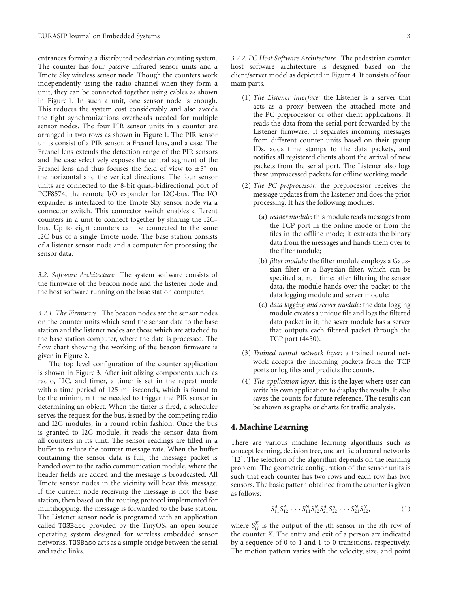entrances forming a distributed pedestrian counting system. The counter has four passive infrared sensor units and a Tmote Sky wireless sensor node. Though the counters work independently using the radio channel when they form a unit, they can be connected together using cables as shown in Figure 1. In such a unit, one sensor node is enough. This reduces the system cost considerably and also avoids the tight synchronizations overheads needed for multiple sensor nodes. The four PIR sensor units in a counter are arranged in two rows as shown in Figure 1. The PIR sensor units consist of a PIR sensor, a Fresnel lens, and a case. The Fresnel lens extends the detection range of the PIR sensors and the case selectively exposes the central segment of the Fresnel lens and thus focuses the field of view to  $\pm 5°$  on the horizontal and the vertical directions. The four sensor units are connected to the 8-bit quasi-bidirectional port of PCF8574, the remote I/O expander for I2C-bus. The I/O expander is interfaced to the Tmote Sky sensor node via a connector switch. This connector switch enables different counters in a unit to connect together by sharing the I2Cbus. Up to eight counters can be connected to the same I2C bus of a single Tmote node. The base station consists of a listener sensor node and a computer for processing the sensor data.

*3.2. Software Architecture.* The system software consists of the firmware of the beacon node and the listener node and the host software running on the base station computer.

*3.2.1. The Firmware.* The beacon nodes are the sensor nodes on the counter units which send the sensor data to the base station and the listener nodes are those which are attached to the base station computer, where the data is processed. The flow chart showing the working of the beacon firmware is given in Figure 2.

The top level configuration of the counter application is shown in Figure 3. After initializing components such as radio, I2C, and timer, a timer is set in the repeat mode with a time period of 125 milliseconds, which is found to be the minimum time needed to trigger the PIR sensor in determining an object. When the timer is fired, a scheduler serves the request for the bus, issued by the competing radio and I2C modules, in a round robin fashion. Once the bus is granted to I2C module, it reads the sensor data from all counters in its unit. The sensor readings are filled in a buffer to reduce the counter message rate. When the buffer containing the sensor data is full, the message packet is handed over to the radio communication module, where the header fields are added and the message is broadcasted. All Tmote sensor nodes in the vicinity will hear this message. If the current node receiving the message is not the base station, then based on the routing protocol implemented for multihopping, the message is forwarded to the base station. The Listener sensor node is programed with an application called TOSBase provided by the TinyOS, an open-source operating system designed for wireless embedded sensor networks. TOSBase acts as a simple bridge between the serial and radio links.

*3.2.2. PC Host Software Architecture.* The pedestrian counter host software architecture is designed based on the client/server model as depicted in Figure 4. It consists of four main parts.

- (1) *The Listener interface:* the Listener is a server that acts as a proxy between the attached mote and the PC preprocessor or other client applications. It reads the data from the serial port forwarded by the Listener firmware. It separates incoming messages from different counter units based on their group IDs, adds time stamps to the data packets, and notifies all registered clients about the arrival of new packets from the serial port. The Listener also logs these unprocessed packets for offline working mode.
- (2) *The PC preprocessor:* the preprocessor receives the message updates from the Listener and does the prior processing. It has the following modules:
	- (a) *reader module:* this module reads messages from the TCP port in the online mode or from the files in the offline mode; it extracts the binary data from the messages and hands them over to the filter module;
	- (b) *filter module:* the filter module employs a Gaussian filter or a Bayesian filter, which can be specified at run time; after filtering the sensor data, the module hands over the packet to the data logging module and server module;
	- (c) *data logging and server module:* the data logging module creates a unique file and logs the filtered data packet in it; the sever module has a server that outputs each filtered packet through the TCP port (4450).
- (3) *Trained neural network layer:* a trained neural network accepts the incoming packets from the TCP ports or log files and predicts the counts.
- (4) *The application layer:* this is the layer where user can write his own application to display the results. It also saves the counts for future reference. The results can be shown as graphs or charts for traffic analysis.

# **4. Machine Learning**

There are various machine learning algorithms such as concept learning, decision tree, and artificial neural networks [12]. The selection of the algorithm depends on the learning problem. The geometric configuration of the sensor units is such that each counter has two rows and each row has two sensors. The basic pattern obtained from the counter is given as follows:

$$
S_{11}^A S_{12}^A \cdots S_{11}^N S_{12}^N S_{21}^A S_{22}^A \cdots S_{21}^N S_{22}^N, \tag{1}
$$

where  $S_{ij}^X$  is the output of the *j*th sensor in the *i*th row of the counter *X*. The entry and exit of a person are indicated by a sequence of 0 to 1 and 1 to 0 transitions, respectively. The motion pattern varies with the velocity, size, and point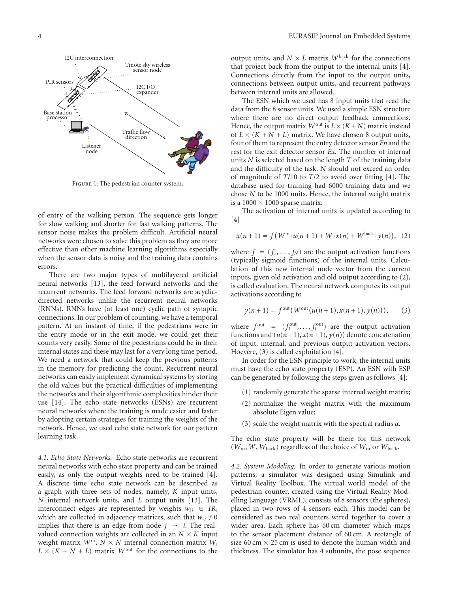

Figure 1: The pedestrian counter system.

of entry of the walking person. The sequence gets longer for slow walking and shorter for fast walking patterns. The sensor noise makes the problem difficult. Artificial neural networks were chosen to solve this problem as they are more effective than other machine learning algorithms especially when the sensor data is noisy and the training data contains errors.

There are two major types of multilayered artificial neural networks [13], the feed forward networks and the recurrent networks. The feed forward networks are acyclicdirected networks unlike the recurrent neural networks (RNNs). RNNs have (at least one) cyclic path of synaptic connections. In our problem of counting, we have a temporal pattern. At an instant of time, if the pedestrians were in the entry mode or in the exit mode, we could get their counts very easily. Some of the pedestrians could be in their internal states and these may last for a very long time period. We need a network that could keep the previous patterns in the memory for predicting the count. Recurrent neural networks can easily implement dynamical systems by storing the old values but the practical difficulties of implementing the networks and their algorithmic complexities hinder their use [14]. The echo state networks (ESNs) are recurrent neural networks where the training is made easier and faster by adopting certain strategies for training the weights of the network. Hence, we used echo state network for our pattern learning task.

*4.1. Echo State Networks.* Echo state networks are recurrent neural networks with echo state property and can be trained easily, as only the output weights need to be trained [4]. A discrete time echo state network can be described as a graph with three sets of nodes, namely, *K* input units, *N* internal network units, and *L* output units [13]. The interconnect edges are represented by weights  $w_{ij} \in IR$ , which are collected in adjacency matrices, such that  $w_{ij} \neq 0$ implies that there is an edge from node  $j \rightarrow i$ . The realvalued connection weights are collected in an  $N \times K$  input weight matrix  $W^{\text{in}}$ ,  $N \times N$  internal connection matrix *W*,  $L \times (K + N + L)$  matrix *W*<sup>out</sup> for the connections to the

output units, and  $N \times L$  matrix  $W^{\text{back}}$  for the connections that project back from the output to the internal units [4]. Connections directly from the input to the output units, connections between output units, and recurrent pathways between internal units are allowed.

The ESN which we used has 8 input units that read the data from the 8 sensor units. We used a simple ESN structure where there are no direct output feedback connections. Hence, the output matrix  $W^{out}$  is  $L \times (K + N)$  matrix instead of  $L \times (K + N + L)$  matrix. We have chosen 8 output units, four of them to represent the entry detector sensor *En* and the rest for the exit detector sensor *Ex*. The number of internal units *N* is selected based on the length *T* of the training data and the difficulty of the task. *N* should not exceed an order of magnitude of *T*/10 to *T*/2 to avoid over fitting [4]. The database used for training had 6000 training data and we chose *N* to be 1000 units. Hence, the internal weight matrix is a  $1000 \times 1000$  sparse matrix.

The activation of internal units is updated according to  $[4]$ 

$$
x(n+1) = f(W^{\text{in}} \cdot u(n+1) + W \cdot x(n) + W^{\text{back}} \cdot y(n)), \quad (2)
$$

where  $f = (f_1, \ldots, f_N)$  are the output activation functions (typically sigmoid functions) of the internal units. Calculation of this new internal node vector from the current inputs, given old activation and old output according to (2), is called evaluation. The neural network computes its output activations according to

$$
y(n+1) = f^{\text{out}}(W^{\text{out}}(u(n+1), x(n+1), y(n))), \qquad (3)
$$

where  $f^{\text{out}} = (f_1^{\text{out}}, \dots, f_L^{\text{out}})$  are the output activation functions and  $(u(n+1), x(n+1), y(n))$  denote concatenation of input, internal, and previous output activation vectors. Hoevere, (3) is called exploitation [4].

In order for the ESN principle to work, the internal units must have the echo state property (ESP). An ESN with ESP can be generated by following the steps given as follows [4]:

- (1) randomly generate the sparse internal weight matrix;
- (2) normalize the weight matrix with the maximum absolute Eigen value;
- (3) scale the weight matrix with the spectral radius *α*.

The echo state property will be there for this network  $(W_{\text{in}}, W, W_{\text{back}})$  regardless of the choice of  $W_{\text{in}}$  or  $W_{\text{back}}$ .

*4.2. System Modeling.* In order to generate various motion patterns, a simulator was designed using Simulink and Virtual Reality Toolbox. The virtual world model of the pedestrian counter, created using the Virtual Reality Modelling Language (VRML), consists of 8 sensors (the spheres), placed in two rows of 4 sensors each. This model can be considered as two real counters wired together to cover a wider area. Each sphere has 60 cm diameter which maps to the sensor placement distance of 60 cm. A rectangle of size 60 cm  $\times$  25 cm is used to denote the human width and thickness. The simulator has 4 subunits, the pose sequence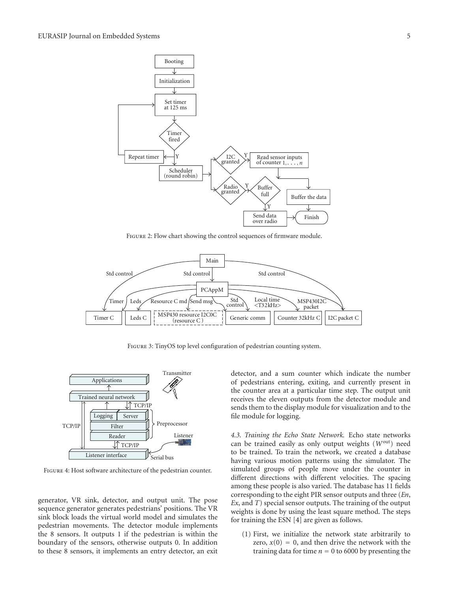

Figure 2: Flow chart showing the control sequences of firmware module.



Figure 3: TinyOS top level configuration of pedestrian counting system.



Figure 4: Host software architecture of the pedestrian counter.

generator, VR sink, detector, and output unit. The pose sequence generator generates pedestrians' positions. The VR sink block loads the virtual world model and simulates the pedestrian movements. The detector module implements the 8 sensors. It outputs 1 if the pedestrian is within the boundary of the sensors, otherwise outputs 0. In addition to these 8 sensors, it implements an entry detector, an exit detector, and a sum counter which indicate the number of pedestrians entering, exiting, and currently present in the counter area at a particular time step. The output unit receives the eleven outputs from the detector module and sends them to the display module for visualization and to the file module for logging.

*4.3. Training the Echo State Network.* Echo state networks can be trained easily as only output weights (*W*out) need to be trained. To train the network, we created a database having various motion patterns using the simulator. The simulated groups of people move under the counter in different directions with different velocities. The spacing among these people is also varied. The database has 11 fields corresponding to the eight PIR sensor outputs and three (*En*, *Ex*, and *T*) special sensor outputs. The training of the output weights is done by using the least square method. The steps for training the ESN [4] are given as follows.

(1) First, we initialize the network state arbitrarily to zero,  $x(0) = 0$ , and then drive the network with the training data for time  $n = 0$  to 6000 by presenting the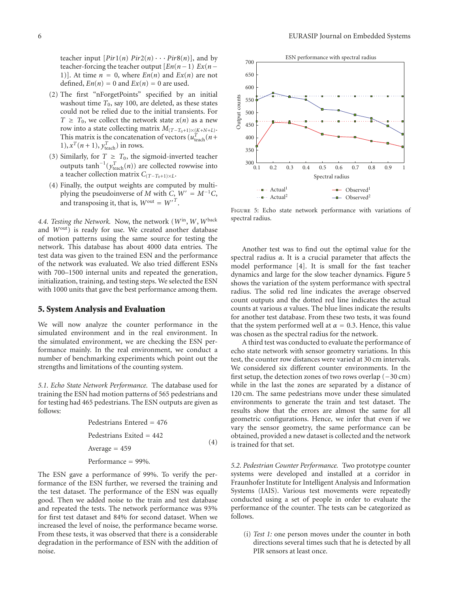teacher input  $[Pir1(n) Pir2(n) \cdots Pir8(n)]$ , and by teacher-forcing the teacher output  $[En(n-1) Ex(n-1)]$ 1)]. At time  $n = 0$ , where  $En(n)$  and  $Ex(n)$  are not defined,  $En(n) = 0$  and  $Ex(n) = 0$  are used.

- (2) The first "nForgetPoints" specified by an initial washout time  $T_0$ , say 100, are deleted, as these states could not be relied due to the initial transients. For  $T \geq T_0$ , we collect the network state  $x(n)$  as a new row into a state collecting matrix  $M_{(T-T_0+1)\times (K+N+L)}$ . This matrix is the concatenation of vectors  $(u_{\text{teach}}^T(n+$ 1),  $x^T(n+1)$ ,  $y^T$ <sub>teach</sub>) in rows.
- (3) Similarly, for  $T \geq T_0$ , the sigmoid-inverted teacher outputs  $\tanh^{-1}(y_{\text{teach}}^T(n))$  are collected rowwise into a teacher collection matrix  $C_{(T-T_0+1)\times L}$ .
- (4) Finally, the output weights are computed by multiplying the pseudoinverse of *M* with *C*,  $W' = M^{-1}C$ , and transposing it, that is,  $W^{out} = W^{T}$ .

*4.4. Testing the Network.* Now, the network (*W*in,*W*,*W*back and  $W^{out}$ ) is ready for use. We created another database of motion patterns using the same source for testing the network. This database has about 4000 data entries. The test data was given to the trained ESN and the performance of the network was evaluated. We also tried different ESNs with 700–1500 internal units and repeated the generation, initialization, training, and testing steps. We selected the ESN with 1000 units that gave the best performance among them.

#### **5. System Analysis and Evaluation**

We will now analyze the counter performance in the simulated environment and in the real environment. In the simulated environment, we are checking the ESN performance mainly. In the real environment, we conduct a number of benchmarking experiments which point out the strengths and limitations of the counting system.

*5.1. Echo State Network Performance.* The database used for training the ESN had motion patterns of 565 pedestrians and for testing had 465 pedestrians. The ESN outputs are given as follows:

> Pedestrians Entered = 476 Pedestrians Exited = 442 Average  $= 459$ Performance = 99%*.* (4)

The ESN gave a performance of 99%. To verify the performance of the ESN further, we reversed the training and the test dataset. The performance of the ESN was equally good. Then we added noise to the train and test database and repeated the tests. The network performance was 93% for first test dataset and 84% for second dataset. When we increased the level of noise, the performance became worse. From these tests, it was observed that there is a considerable degradation in the performance of ESN with the addition of noise.



Figure 5: Echo state network performance with variations of spectral radius.

Another test was to find out the optimal value for the spectral radius *α*. It is a crucial parameter that affects the model performance [4]. It is small for the fast teacher dynamics and large for the slow teacher dynamics. Figure 5 shows the variation of the system performance with spectral radius. The solid red line indicates the average observed count outputs and the dotted red line indicates the actual counts at various *α* values. The blue lines indicate the results for another test database. From these two tests, it was found that the system performed well at  $\alpha = 0.3$ . Hence, this value was chosen as the spectral radius for the network.

A third test was conducted to evaluate the performance of echo state network with sensor geometry variations. In this test, the counter row distances were varied at 30 cm intervals. We considered six different counter environments. In the first setup, the detection zones of two rows overlap (−30 cm) while in the last the zones are separated by a distance of 120 cm. The same pedestrians move under these simulated environments to generate the train and test dataset. The results show that the errors are almost the same for all geometric configurations. Hence, we infer that even if we vary the sensor geometry, the same performance can be obtained, provided a new dataset is collected and the network is trained for that set.

*5.2. Pedestrian Counter Performance.* Two prototype counter systems were developed and installed at a corridor in Fraunhofer Institute for Intelligent Analysis and Information Systems (IAIS). Various test movements were repeatedly conducted using a set of people in order to evaluate the performance of the counter. The tests can be categorized as follows.

(i) *Test 1:* one person moves under the counter in both directions several times such that he is detected by all PIR sensors at least once.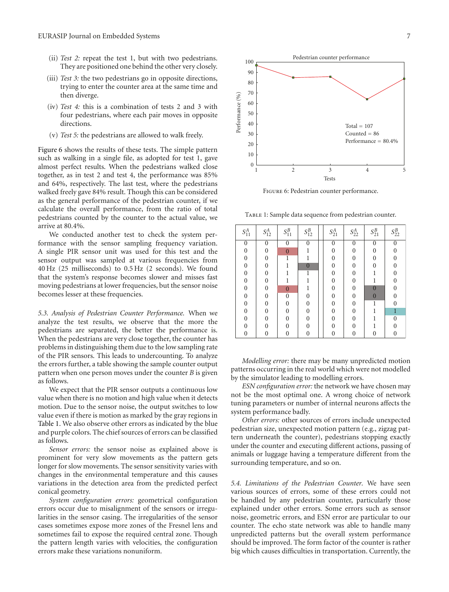- (ii) *Test 2:* repeat the test 1, but with two pedestrians. They are positioned one behind the other very closely.
- (iii) *Test 3:* the two pedestrians go in opposite directions, trying to enter the counter area at the same time and then diverge.
- (iv) *Test 4:* this is a combination of tests 2 and 3 with four pedestrians, where each pair moves in opposite directions.
- (v) *Test 5:* the pedestrians are allowed to walk freely.

Figure 6 shows the results of these tests. The simple pattern such as walking in a single file, as adopted for test 1, gave almost perfect results. When the pedestrians walked close together, as in test 2 and test 4, the performance was 85% and 64%, respectively. The last test, where the pedestrians walked freely gave 84% result. Though this can be considered as the general performance of the pedestrian counter, if we calculate the overall performance, from the ratio of total pedestrians counted by the counter to the actual value, we arrive at 80.4%.

We conducted another test to check the system performance with the sensor sampling frequency variation. A single PIR sensor unit was used for this test and the sensor output was sampled at various frequencies from 40 Hz (25 milliseconds) to 0.5 Hz (2 seconds). We found that the system's response becomes slower and misses fast moving pedestrians at lower frequencies, but the sensor noise becomes lesser at these frequencies.

*5.3. Analysis of Pedestrian Counter Performance.* When we analyze the test results, we observe that the more the pedestrians are separated, the better the performance is. When the pedestrians are very close together, the counter has problems in distinguishing them due to the low sampling rate of the PIR sensors. This leads to undercounting. To analyze the errors further, a table showing the sample counter output pattern when one person moves under the counter *B* is given as follows.

We expect that the PIR sensor outputs a continuous low value when there is no motion and high value when it detects motion. Due to the sensor noise, the output switches to low value even if there is motion as marked by the gray regions in Table 1. We also observe other errors as indicated by the blue and purple colors. The chief sources of errors can be classified as follows.

*Sensor errors:* the sensor noise as explained above is prominent for very slow movements as the pattern gets longer for slow movements. The sensor sensitivity varies with changes in the environmental temperature and this causes variations in the detection area from the predicted perfect conical geometry.

*System configuration errors:* geometrical configuration errors occur due to misalignment of the sensors or irregularities in the sensor casing. The irregularities of the sensor cases sometimes expose more zones of the Fresnel lens and sometimes fail to expose the required central zone. Though the pattern length varies with velocities, the configuration errors make these variations nonuniform.



Figure 6: Pedestrian counter performance.

Table 1: Sample data sequence from pedestrian counter.

| $S^A_{11}$       | $S^A_{12}$       | $S_{11}^B$       | $S_{12}^B$     | $S^A_{21}$       | $S^A_{22}$     | $S_{21}^B$       | $S_{22}^B$     |
|------------------|------------------|------------------|----------------|------------------|----------------|------------------|----------------|
| $\boldsymbol{0}$ | $\boldsymbol{0}$ | $\theta$         | $\mathbf{0}$   | $\boldsymbol{0}$ | $\mathbf{0}$   | $\boldsymbol{0}$ | $\theta$       |
| $\mathbf{0}$     | $\overline{0}$   | $\overline{0}$   |                | $\boldsymbol{0}$ | $\overline{0}$ | $\boldsymbol{0}$ | $\Omega$       |
| $\overline{0}$   | $\overline{0}$   | 1                |                | $\overline{0}$   | $\theta$       | $\theta$         | 0              |
| $\theta$         | $\overline{0}$   |                  | $\overline{0}$ | $\overline{0}$   | $\theta$       | $\Omega$         | $\Omega$       |
| $\overline{0}$   | $\overline{0}$   |                  | 1              | $\overline{0}$   | $\theta$       |                  | 0              |
| $\overline{0}$   | $\overline{0}$   |                  |                | $\overline{0}$   | $\overline{0}$ |                  | $\Omega$       |
| $\overline{0}$   | $\overline{0}$   | $\overline{0}$   |                | $\overline{0}$   | $\overline{0}$ | $\overline{0}$   | $\Omega$       |
| $\mathbf{0}$     | $\overline{0}$   | $\boldsymbol{0}$ | $\overline{0}$ | $\boldsymbol{0}$ | $\overline{0}$ | $\overline{0}$   | $\Omega$       |
| $\overline{0}$   | $\overline{0}$   | $\overline{0}$   | $\overline{0}$ | $\overline{0}$   | $\overline{0}$ | 1                | $\Omega$       |
| $\boldsymbol{0}$ | $\boldsymbol{0}$ | $\overline{0}$   | $\overline{0}$ | $\boldsymbol{0}$ | $\mathbf{0}$   |                  | $\overline{1}$ |
| $\overline{0}$   | $\overline{0}$   | $\overline{0}$   | $\overline{0}$ | $\overline{0}$   | $\theta$       |                  | $\overline{0}$ |
| $\overline{0}$   | $\overline{0}$   | $\Omega$         | $\overline{0}$ | $\theta$         | $\theta$       |                  |                |
| $\overline{0}$   | $\overline{0}$   | $\theta$         | $\overline{0}$ | $\overline{0}$   | $\overline{0}$ | 0                | $\overline{0}$ |

*Modelling error:* there may be many unpredicted motion patterns occurring in the real world which were not modelled by the simulator leading to modelling errors.

*ESN configuration error:* the network we have chosen may not be the most optimal one. A wrong choice of network tuning parameters or number of internal neurons affects the system performance badly.

*Other errors:* other sources of errors include unexpected pedestrian size, unexpected motion pattern (e.g., zigzag pattern underneath the counter), pedestrians stopping exactly under the counter and executing different actions, passing of animals or luggage having a temperature different from the surrounding temperature, and so on.

*5.4. Limitations of the Pedestrian Counter.* We have seen various sources of errors, some of these errors could not be handled by any pedestrian counter, particularly those explained under other errors. Some errors such as sensor noise, geometric errors, and ESN error are particular to our counter. The echo state network was able to handle many unpredicted patterns but the overall system performance should be improved. The form factor of the counter is rather big which causes difficulties in transportation. Currently, the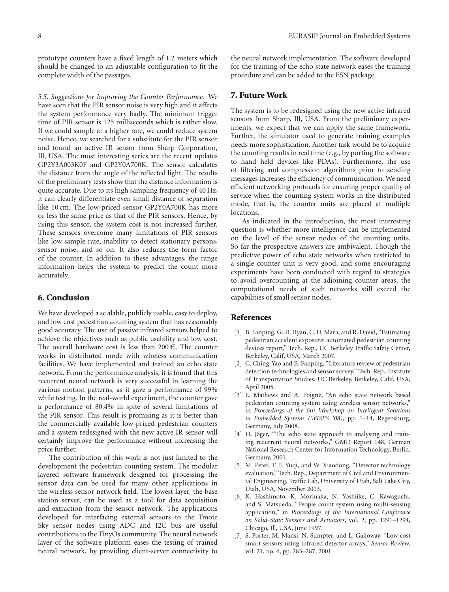prototype counters have a fixed length of 1.2 meters which should be changed to an adjustable configuration to fit the complete width of the passages.

*5.5. Suggestions for Improving the Counter Performance.* We have seen that the PIR sensor noise is very high and it affects the system performance very badly. The minimum trigger time of PIR sensor is 125 milliseconds which is rather slow. If we could sample at a higher rate, we could reduce system noise. Hence, we searched for a substitute for the PIR sensor and found an active IR sensor from Sharp Corporation, Ill, USA. The most interesting series are the recent updates GP2Y3A003K0F and GP2Y0A700K. The sensor calculates the distance from the angle of the reflected light. The results of the preliminary tests show that the distance information is quite accurate. Due to its high sampling frequency of 40 Hz, it can clearly differentiate even small distance of separation like 10 cm. The low-priced sensor GP2Y0A700K has more or less the same price as that of the PIR sensors. Hence, by using this sensor, the system cost is not increased further. These sensors overcome many limitations of PIR sensors like low sample rate, inability to detect stationary persons, sensor noise, and so on. It also reduces the form factor of the counter. In addition to these advantages, the range information helps the system to predict the count more accurately.

#### **6. Conclusion**

We have developed a sc alable, publicly usable, easy to deploy, and low cost pedestrian counting system that has reasonably good accuracy. The use of passive infrared sensors helped to achieve the objectives such as public usability and low cost. The overall hardware cost is less than  $200 \in$ . The counter works in distributed mode with wireless communication facilities. We have implemented and trained an echo state network. From the performance analysis, it is found that this recurrent neural network is very successful in learning the various motion patterns, as it gave a performance of 99% while testing. In the real-world experiment, the counter gave a performance of 80.4% in spite of several limitations of the PIR sensor. This result is promising as it is better than the commercially available low-priced pedestrian counters and a system redesigned with the new active IR sensor will certainly improve the performance without increasing the price further.

The contribution of this work is not just limited to the development the pedestrian counting system. The modular layered software framework designed for processing the sensor data can be used for many other applications in the wireless sensor network field. The lowest layer, the base station server, can be used as a tool for data acquisition and extraction from the sensor network. The applications developed for interfacing external sensors to the Tmote Sky sensor nodes using ADC and I2C bus are useful contributions to the TinyOs community. The neural network layer of the software platform eases the testing of trained neural network, by providing client-server connectivity to

the neural network implementation. The software developed for the training of the echo state network eases the training procedure and can be added to the ESN package.

## **7. Future Work**

The system is to be redesigned using the new active infrared sensors from Sharp, Ill, USA. From the preliminary experiments, we expect that we can apply the same framework. Further, the simulator used to generate training examples needs more sophistication. Another task would be to acquire the counting results in real time (e.g., by porting the software to hand held devices like PDAs). Furthermore, the use of filtering and compression algorithms prior to sending messages increases the efficiency of communication. We need efficient networking protocols for ensuring proper quality of service when the counting system works in the distributed mode, that is, the counter units are placed at multiple locations.

As indicated in the introduction, the most interesting question is whether more intelligence can be implemented on the level of the sensor nodes of the counting units. So far the prospective answers are ambivalent. Though the predictive power of echo state networks when restricted to a single counter unit is very good, and some encouraging experiments have been conducted with regard to strategies to avoid overcounting at the adjoining counter areas, the computational needs of such networks still exceed the capabilities of small sensor nodes.

#### **References**

- [1] B. Fanping, G.-R. Ryan, C. D. Mara, and R. David, "Estimating pedestrian accident exposure: automated pedestrian counting devices report," Tech. Rep., UC Berkeley Traffic Safety Center, Berkeley, Calif, USA, March 2007.
- [2] C. Ching-Yao and B. Fanping, "Literature review of pedestrian detection technologies and sensor survey," Tech. Rep., Institute of Transportation Studies, UC Berkeley, Berkeley, Calif, USA, April 2005.
- [3] E. Mathews and A. Poigné, "An echo state network based pedestrian counting system using wireless sensor networks," in *Proceedings of the 6th Workshop on Intelligent Solutions in Embedded Systems (WISES '08)*, pp. 1–14, Regensburg, Germany, July 2008.
- [4] H. Jäger, "The echo state approach to analysing and training recurrent neural networks," GMD Report 148, German National Research Center for Information Technology, Berlin, Germany, 2001.
- [5] M. Peter, T. F. Yuqi, and W. Xiaodong, "Detector technology evaluation," Tech. Rep., Department of Civil and Environmental Engineering, Traffic Lab, University of Utah, Salt Lake City, Utah, USA, November 2003.
- [6] K. Hashimoto, K. Morinaka, N. Yoshiike, C. Kawaguchi, and S. Matsueda, "People count system using multi-sensing application," in *Proceedings of the International Conference on Solid-State Sensors and Actuators*, vol. 2, pp. 1291–1294, Chicago, Ill, USA, June 1997.
- [7] S. Porter, M. Mansi, N. Sumpter, and L. Galloway, "Low cost smart sensors using infrared detector arrays," *Sensor Review*, vol. 21, no. 4, pp. 283–287, 2001.